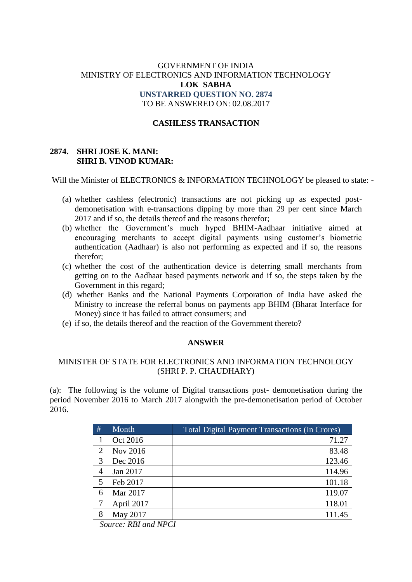# GOVERNMENT OF INDIA MINISTRY OF ELECTRONICS AND INFORMATION TECHNOLOGY **LOK SABHA UNSTARRED QUESTION NO. 2874** TO BE ANSWERED ON: 02.08.2017

### **CASHLESS TRANSACTION**

## **2874. SHRI JOSE K. MANI: SHRI B. VINOD KUMAR:**

Will the Minister of ELECTRONICS & INFORMATION TECHNOLOGY be pleased to state: -

- (a) whether cashless (electronic) transactions are not picking up as expected postdemonetisation with e-transactions dipping by more than 29 per cent since March 2017 and if so, the details thereof and the reasons therefor;
- (b) whether the Government's much hyped BHIM-Aadhaar initiative aimed at encouraging merchants to accept digital payments using customer's biometric authentication (Aadhaar) is also not performing as expected and if so, the reasons therefor;
- (c) whether the cost of the authentication device is deterring small merchants from getting on to the Aadhaar based payments network and if so, the steps taken by the Government in this regard;
- (d) whether Banks and the National Payments Corporation of India have asked the Ministry to increase the referral bonus on payments app BHIM (Bharat Interface for Money) since it has failed to attract consumers; and
- (e) if so, the details thereof and the reaction of the Government thereto?

### **ANSWER**

## MINISTER OF STATE FOR ELECTRONICS AND INFORMATION TECHNOLOGY (SHRI P. P. CHAUDHARY)

(a): The following is the volume of Digital transactions post- demonetisation during the period November 2016 to March 2017 alongwith the pre-demonetisation period of October 2016.

| #              | Month      | <b>Total Digital Payment Transactions (In Crores)</b> |  |
|----------------|------------|-------------------------------------------------------|--|
| 1              | Oct 2016   | 71.27                                                 |  |
| 2              | Nov 2016   | 83.48                                                 |  |
| 3              | Dec 2016   | 123.46                                                |  |
| $\overline{4}$ | Jan 2017   | 114.96                                                |  |
| 5              | Feb 2017   | 101.18                                                |  |
| 6              | Mar 2017   | 119.07                                                |  |
|                | April 2017 | 118.01                                                |  |
| 8              | May 2017   | 111.45                                                |  |

*Source: RBI and NPCI*